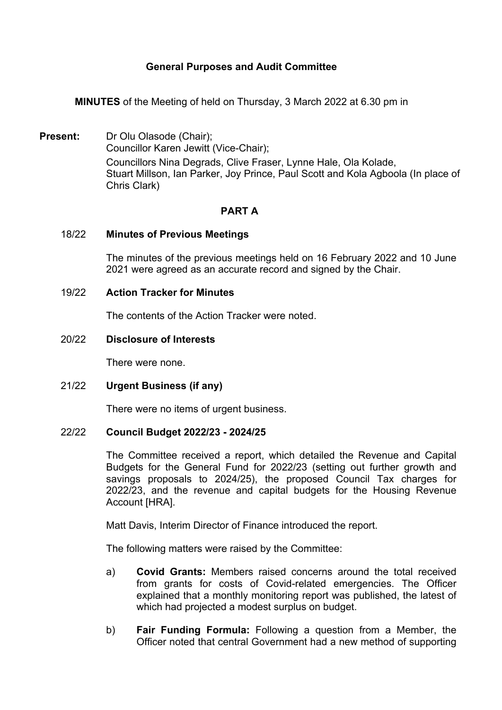# **General Purposes and Audit Committee**

**MINUTES** of the Meeting of held on Thursday, 3 March 2022 at 6.30 pm in

**Present:** Dr Olu Olasode (Chair): Councillor Karen Jewitt (Vice-Chair); Councillors Nina Degrads, Clive Fraser, Lynne Hale, Ola Kolade, Stuart Millson, Ian Parker, Joy Prince, Paul Scott and Kola Agboola (In place of Chris Clark)

## **PART A**

#### 18/22 **Minutes of Previous Meetings**

The minutes of the previous meetings held on 16 February 2022 and 10 June 2021 were agreed as an accurate record and signed by the Chair.

### 19/22 **Action Tracker for Minutes**

The contents of the Action Tracker were noted.

### 20/22 **Disclosure of Interests**

There were none.

## 21/22 **Urgent Business (if any)**

There were no items of urgent business.

#### 22/22 **Council Budget 2022/23 - 2024/25**

The Committee received a report, which detailed the Revenue and Capital Budgets for the General Fund for 2022/23 (setting out further growth and savings proposals to 2024/25), the proposed Council Tax charges for 2022/23, and the revenue and capital budgets for the Housing Revenue Account [HRA].

Matt Davis, Interim Director of Finance introduced the report.

The following matters were raised by the Committee:

- a) **Covid Grants:** Members raised concerns around the total received from grants for costs of Covid-related emergencies. The Officer explained that a monthly monitoring report was published, the latest of which had projected a modest surplus on budget.
- b) **Fair Funding Formula:** Following a question from a Member, the Officer noted that central Government had a new method of supporting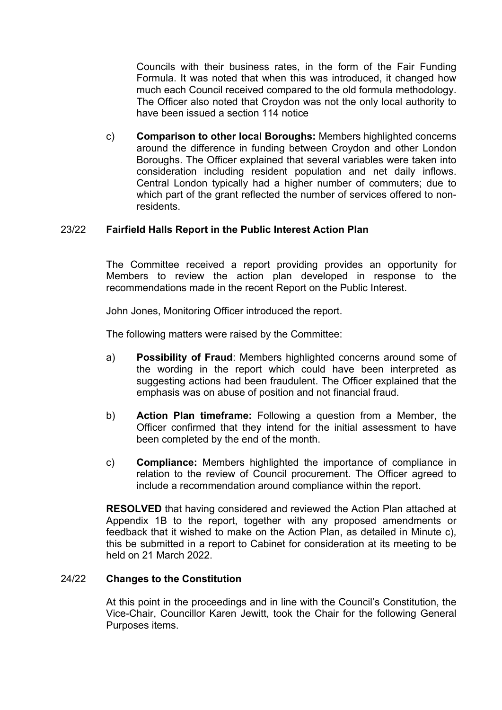Councils with their business rates, in the form of the Fair Funding Formula. It was noted that when this was introduced, it changed how much each Council received compared to the old formula methodology. The Officer also noted that Croydon was not the only local authority to have been issued a section 114 notice

c) **Comparison to other local Boroughs:** Members highlighted concerns around the difference in funding between Croydon and other London Boroughs. The Officer explained that several variables were taken into consideration including resident population and net daily inflows. Central London typically had a higher number of commuters; due to which part of the grant reflected the number of services offered to nonresidents.

# 23/22 **Fairfield Halls Report in the Public Interest Action Plan**

The Committee received a report providing provides an opportunity for Members to review the action plan developed in response to the recommendations made in the recent Report on the Public Interest.

John Jones, Monitoring Officer introduced the report.

The following matters were raised by the Committee:

- a) **Possibility of Fraud**: Members highlighted concerns around some of the wording in the report which could have been interpreted as suggesting actions had been fraudulent. The Officer explained that the emphasis was on abuse of position and not financial fraud.
- b) **Action Plan timeframe:** Following a question from a Member, the Officer confirmed that they intend for the initial assessment to have been completed by the end of the month.
- c) **Compliance:** Members highlighted the importance of compliance in relation to the review of Council procurement. The Officer agreed to include a recommendation around compliance within the report.

**RESOLVED** that having considered and reviewed the Action Plan attached at Appendix 1B to the report, together with any proposed amendments or feedback that it wished to make on the Action Plan, as detailed in Minute c), this be submitted in a report to Cabinet for consideration at its meeting to be held on 21 March 2022.

## 24/22 **Changes to the Constitution**

At this point in the proceedings and in line with the Council's Constitution, the Vice-Chair, Councillor Karen Jewitt, took the Chair for the following General Purposes items.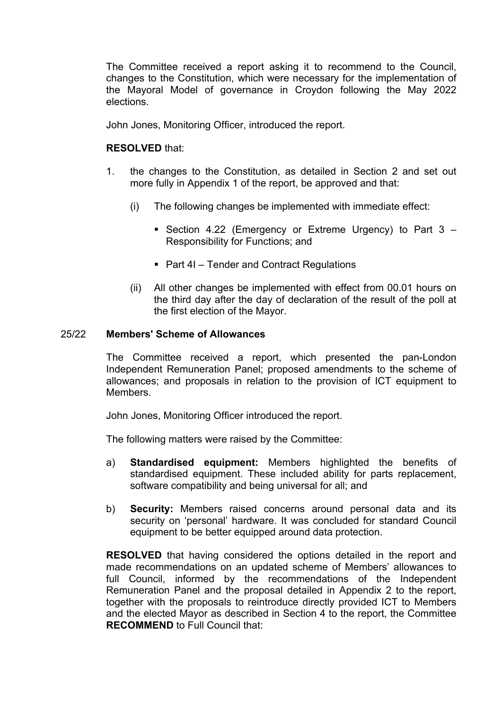The Committee received a report asking it to recommend to the Council, changes to the Constitution, which were necessary for the implementation of the Mayoral Model of governance in Croydon following the May 2022 elections.

John Jones, Monitoring Officer, introduced the report.

## **RESOLVED** that:

- 1. the changes to the Constitution, as detailed in Section 2 and set out more fully in Appendix 1 of the report, be approved and that:
	- (i) The following changes be implemented with immediate effect:
		- Section 4.22 (Emergency or Extreme Urgency) to Part 3 Responsibility for Functions; and
		- Part 4I Tender and Contract Regulations
	- (ii) All other changes be implemented with effect from 00.01 hours on the third day after the day of declaration of the result of the poll at the first election of the Mayor.

### 25/22 **Members' Scheme of Allowances**

The Committee received a report, which presented the pan-London Independent Remuneration Panel; proposed amendments to the scheme of allowances; and proposals in relation to the provision of ICT equipment to Members.

John Jones, Monitoring Officer introduced the report.

The following matters were raised by the Committee:

- a) **Standardised equipment:** Members highlighted the benefits of standardised equipment. These included ability for parts replacement, software compatibility and being universal for all; and
- b) **Security:** Members raised concerns around personal data and its security on 'personal' hardware. It was concluded for standard Council equipment to be better equipped around data protection.

**RESOLVED** that having considered the options detailed in the report and made recommendations on an updated scheme of Members' allowances to full Council, informed by the recommendations of the Independent Remuneration Panel and the proposal detailed in Appendix 2 to the report, together with the proposals to reintroduce directly provided ICT to Members and the elected Mayor as described in Section 4 to the report, the Committee **RECOMMEND** to Full Council that: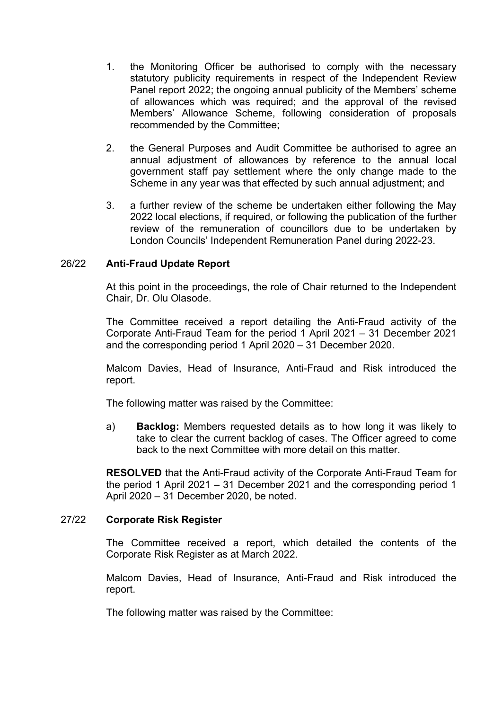- 1. the Monitoring Officer be authorised to comply with the necessary statutory publicity requirements in respect of the Independent Review Panel report 2022; the ongoing annual publicity of the Members' scheme of allowances which was required; and the approval of the revised Members' Allowance Scheme, following consideration of proposals recommended by the Committee;
- 2. the General Purposes and Audit Committee be authorised to agree an annual adjustment of allowances by reference to the annual local government staff pay settlement where the only change made to the Scheme in any year was that effected by such annual adjustment; and
- 3. a further review of the scheme be undertaken either following the May 2022 local elections, if required, or following the publication of the further review of the remuneration of councillors due to be undertaken by London Councils' Independent Remuneration Panel during 2022-23.

## 26/22 **Anti-Fraud Update Report**

At this point in the proceedings, the role of Chair returned to the Independent Chair, Dr. Olu Olasode.

The Committee received a report detailing the Anti-Fraud activity of the Corporate Anti-Fraud Team for the period 1 April 2021 – 31 December 2021 and the corresponding period 1 April 2020 – 31 December 2020.

Malcom Davies, Head of Insurance, Anti-Fraud and Risk introduced the report.

The following matter was raised by the Committee:

a) **Backlog:** Members requested details as to how long it was likely to take to clear the current backlog of cases. The Officer agreed to come back to the next Committee with more detail on this matter.

**RESOLVED** that the Anti-Fraud activity of the Corporate Anti-Fraud Team for the period 1 April 2021 – 31 December 2021 and the corresponding period 1 April 2020 – 31 December 2020, be noted.

#### 27/22 **Corporate Risk Register**

The Committee received a report, which detailed the contents of the Corporate Risk Register as at March 2022.

Malcom Davies, Head of Insurance, Anti-Fraud and Risk introduced the report.

The following matter was raised by the Committee: